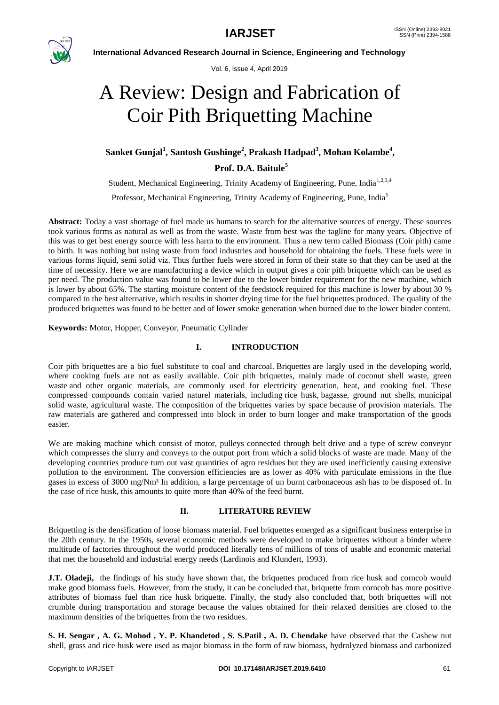

Vol. 6, Issue 4, April 2019

# A Review: Design and Fabrication of Coir Pith Briquetting Machine

## **Sanket Gunjal<sup>1</sup> , Santosh Gushinge<sup>2</sup> , Prakash Hadpad<sup>3</sup> , Mohan Kolambe<sup>4</sup> ,**

**Prof. D.A. Baitule<sup>5</sup>**

Student, Mechanical Engineering, Trinity Academy of Engineering, Pune, India<sup>1,2,3,4</sup>

Professor, Mechanical Engineering, Trinity Academy of Engineering, Pune, India<sup>5</sup>

**Abstract:** Today a vast shortage of fuel made us humans to search for the alternative sources of energy. These sources took various forms as natural as well as from the waste. Waste from best was the tagline for many years. Objective of this was to get best energy source with less harm to the environment. Thus a new term called Biomass (Coir pith) came to birth. It was nothing but using waste from food industries and household for obtaining the fuels. These fuels were in various forms liquid, semi solid viz. Thus further fuels were stored in form of their state so that they can be used at the time of necessity. Here we are manufacturing a device which in output gives a coir pith briquette which can be used as per need. The production value was found to be lower due to the lower binder requirement for the new machine, which is lower by about 65%. The starting moisture content of the feedstock required for this machine is lower by about 30 % compared to the best alternative, which results in shorter drying time for the fuel briquettes produced. The quality of the produced briquettes was found to be better and of lower smoke generation when burned due to the lower binder content.

**Keywords:** Motor, Hopper, Conveyor, Pneumatic Cylinder

## **I. INTRODUCTION**

Coir pith briquettes are a bio fuel substitute to coal and charcoal. Briquettes are largly used in the developing world, where cooking fuels are not as easily available. Coir pith briquettes, mainly made of coconut shell waste, green waste and other organic materials, are commonly used for electricity generation, heat, and cooking fuel. These compressed compounds contain varied naturel materials, including rice husk, bagasse, ground nut shells, municipal solid waste, agricultural waste. The composition of the briquettes varies by space because of provision materials. The raw materials are gathered and compressed into block in order to burn longer and make transportation of the goods easier.

We are making machine which consist of motor, pulleys connected through belt drive and a type of screw conveyor which compresses the slurry and conveys to the output port from which a solid blocks of waste are made. Many of the developing countries produce turn out vast quantities of agro residues but they are used inefficiently causing extensive pollution to the environment. The conversion efficiencies are as lower as 40% with particulate emissions in the flue gases in excess of 3000 mg/Nm<sup>3</sup> In addition, a large percentage of un burnt carbonaceous ash has to be disposed of. In the case of rice husk, this amounts to quite more than 40% of the feed burnt.

## **II. LITERATURE REVIEW**

Briquetting is the densification of loose biomass material. Fuel briquettes emerged as a significant business enterprise in the 20th century. In the 1950s, several economic methods were developed to make briquettes without a binder where multitude of factories throughout the world produced literally tens of millions of tons of usable and economic material that met the household and industrial energy needs (Lardinois and Klundert, 1993).

**J.T. Oladeji,** the findings of his study have shown that, the briquettes produced from rice husk and corncob would make good biomass fuels. However, from the study, it can be concluded that, briquette from corncob has more positive attributes of biomass fuel than rice husk briquette. Finally, the study also concluded that, both briquettes will not crumble during transportation and storage because the values obtained for their relaxed densities are closed to the maximum densities of the briquettes from the two residues.

**S. H. Sengar , A. G. Mohod , Y. P. Khandetod , S. S.Patil , A. D. Chendake** have observed that the Cashew nut shell, grass and rice husk were used as major biomass in the form of raw biomass, hydrolyzed biomass and carbonized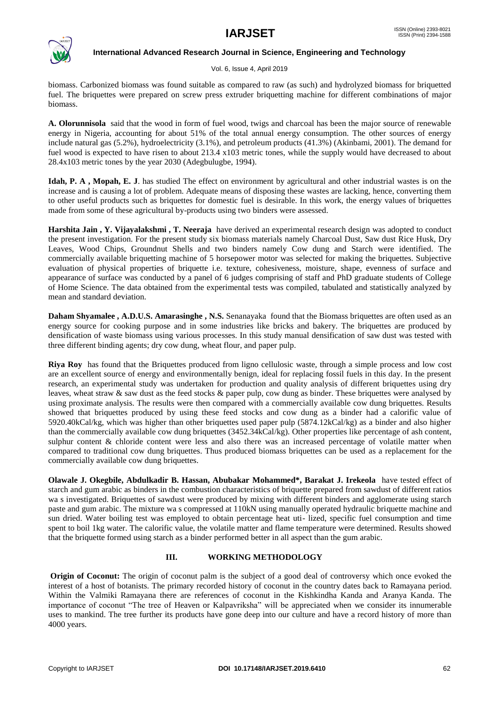

Vol. 6, Issue 4, April 2019

biomass. Carbonized biomass was found suitable as compared to raw (as such) and hydrolyzed biomass for briquetted fuel. The briquettes were prepared on screw press extruder briquetting machine for different combinations of major biomass.

**A. Olorunnisola** said that the wood in form of fuel wood, twigs and charcoal has been the major source of renewable energy in Nigeria, accounting for about 51% of the total annual energy consumption. The other sources of energy include natural gas (5.2%), hydroelectricity (3.1%), and petroleum products (41.3%) (Akinbami, 2001). The demand for fuel wood is expected to have risen to about 213.4 x103 metric tones, while the supply would have decreased to about 28.4x103 metric tones by the year 2030 (Adegbulugbe, 1994).

**Idah, P. A , Mopah, E. J**. has studied The effect on environment by agricultural and other industrial wastes is on the increase and is causing a lot of problem. Adequate means of disposing these wastes are lacking, hence, converting them to other useful products such as briquettes for domestic fuel is desirable. In this work, the energy values of briquettes made from some of these agricultural by-products using two binders were assessed.

**Harshita Jain , Y. Vijayalakshmi , T. Neeraja** have derived an experimental research design was adopted to conduct the present investigation. For the present study six biomass materials namely Charcoal Dust, Saw dust Rice Husk, Dry Leaves, Wood Chips, Groundnut Shells and two binders namely Cow dung and Starch were identified. The commercially available briquetting machine of 5 horsepower motor was selected for making the briquettes. Subjective evaluation of physical properties of briquette i.e. texture, cohesiveness, moisture, shape, evenness of surface and appearance of surface was conducted by a panel of 6 judges comprising of staff and PhD graduate students of College of Home Science. The data obtained from the experimental tests was compiled, tabulated and statistically analyzed by mean and standard deviation.

**Daham Shyamalee , A.D.U.S. Amarasinghe , N.S.** Senanayaka found that the Biomass briquettes are often used as an energy source for cooking purpose and in some industries like bricks and bakery. The briquettes are produced by densification of waste biomass using various processes. In this study manual densification of saw dust was tested with three different binding agents; dry cow dung, wheat flour, and paper pulp.

**Riya Roy** has found that the Briquettes produced from ligno cellulosic waste, through a simple process and low cost are an excellent source of energy and environmentally benign, ideal for replacing fossil fuels in this day. In the present research, an experimental study was undertaken for production and quality analysis of different briquettes using dry leaves, wheat straw & saw dust as the feed stocks & paper pulp, cow dung as binder. These briquettes were analysed by using proximate analysis. The results were then compared with a commercially available cow dung briquettes. Results showed that briquettes produced by using these feed stocks and cow dung as a binder had a calorific value of 5920.40kCal/kg, which was higher than other briquettes used paper pulp (5874.12kCal/kg) as a binder and also higher than the commercially available cow dung briquettes (3452.34kCal/kg). Other properties like percentage of ash content, sulphur content & chloride content were less and also there was an increased percentage of volatile matter when compared to traditional cow dung briquettes. Thus produced biomass briquettes can be used as a replacement for the commercially available cow dung briquettes.

**Olawale J. Okegbile, Abdulkadir B. Hassan, Abubakar Mohammed\*, Barakat J. Irekeola** have tested effect of starch and gum arabic as binders in the combustion characteristics of briquette prepared from sawdust of different ratios wa s investigated. Briquettes of sawdust were produced by mixing with different binders and agglomerate using starch paste and gum arabic. The mixture wa s compressed at 110kN using manually operated hydraulic briquette machine and sun dried. Water boiling test was employed to obtain percentage heat uti- lized, specific fuel consumption and time spent to boil 1kg water. The calorific value, the volatile matter and flame temperature were determined. Results showed that the briquette formed using starch as a binder performed better in all aspect than the gum arabic.

#### **III. WORKING METHODOLOGY**

**Origin of Coconut:** The origin of coconut palm is the subject of a good deal of controversy which once evoked the interest of a host of botanists. The primary recorded history of coconut in the country dates back to Ramayana period. Within the Valmiki Ramayana there are references of coconut in the Kishkindha Kanda and Aranya Kanda. The importance of coconut "The tree of Heaven or Kalpavriksha" will be appreciated when we consider its innumerable uses to mankind. The tree further its products have gone deep into our culture and have a record history of more than 4000 years.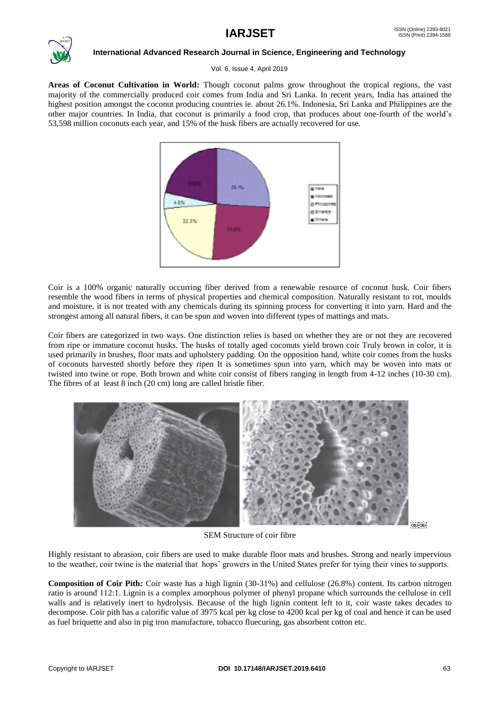

Vol. 6, Issue 4, April 2019

**Areas of Coconut Cultivation in World:** Though coconut palms grow throughout the tropical regions, the vast majority of the commercially produced coir comes from India and Sri Lanka. In recent years, India has attained the highest position amongst the coconut producing countries ie. about 26.1%. Indonesia, Sri Lanka and Philippines are the other major countries. In India, that coconut is primarily a food crop, that produces about one-fourth of the world's 53,598 million coconuts each year, and 15% of the husk fibers are actually recovered for use.



Coir is a 100% organic naturally occurring fiber derived from a renewable resource of coconut husk. Coir fibers resemble the wood fibers in terms of physical properties and chemical composition. Naturally resistant to rot, moulds and moisture, it is not treated with any chemicals during its spinning process for converting it into yarn. Hard and the strongest among all natural fibers, it can be spun and woven into different types of mattings and mats.

Coir fibers are categorized in two ways. One distinction relies is based on whether they are or not they are recovered from ripe or immature coconut husks. The husks of totally aged coconuts yield brown coir Truly brown in color, it is used primarily in brushes, floor mats and upholstery padding. On the opposition hand, white coir comes from the husks of coconuts harvested shortly before they ripen It is sometimes spun into yarn, which may be woven into mats or twisted into twine or rope. Both brown and white coir consist of fibers ranging in length from 4-12 inches (10-30 cm). The fibres of at least 8 inch (20 cm) long are called bristle fiber.



SEM Structure of coir fibre

Highly resistant to abrasion, coir fibers are used to make durable floor mats and brushes. Strong and nearly impervious to the weather, coir twine is the material that hops' growers in the United States prefer for tying their vines to supports.

**Composition of Coir Pith:** Coir waste has a high lignin (30-31%) and cellulose (26.8%) content. Its carbon nitrogen ratio is around 112:1. Lignin is a complex amorphous polymer of phenyl propane which surrounds the cellulose in cell walls and is relatively inert to hydrolysis. Because of the high lignin content left to it, coir waste takes decades to decompose. Coir pith has a calorific value of 3975 kcal per kg close to 4200 kcal per kg of coal and hence it can be used as fuel briquette and also in pig iron manufacture, tobacco fluecuring, gas absorbent cotton etc.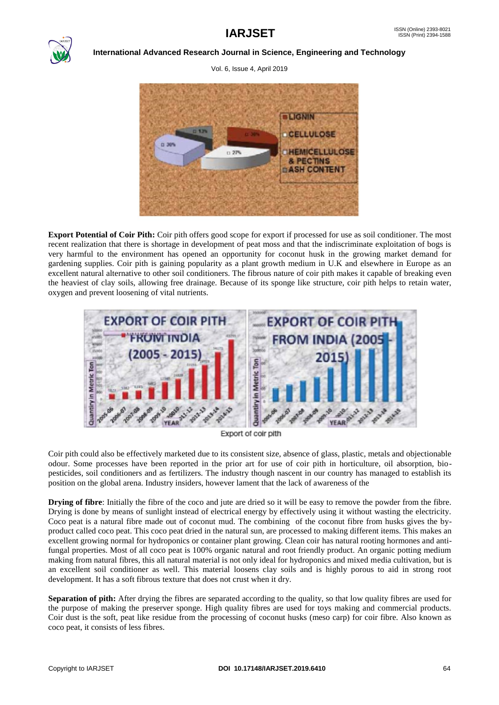

Vol. 6, Issue 4, April 2019



**Export Potential of Coir Pith:** Coir pith offers good scope for export if processed for use as soil conditioner. The most recent realization that there is shortage in development of peat moss and that the indiscriminate exploitation of bogs is very harmful to the environment has opened an opportunity for coconut husk in the growing market demand for gardening supplies. Coir pith is gaining popularity as a plant growth medium in U.K and elsewhere in Europe as an excellent natural alternative to other soil conditioners. The fibrous nature of coir pith makes it capable of breaking even the heaviest of clay soils, allowing free drainage. Because of its sponge like structure, coir pith helps to retain water, oxygen and prevent loosening of vital nutrients.



Export of coir pith

Coir pith could also be effectively marketed due to its consistent size, absence of glass, plastic, metals and objectionable odour. Some processes have been reported in the prior art for use of coir pith in horticulture, oil absorption, biopesticides, soil conditioners and as fertilizers. The industry though nascent in our country has managed to establish its position on the global arena. Industry insiders, however lament that the lack of awareness of the

**Drying of fibre**: Initially the fibre of the coco and jute are dried so it will be easy to remove the powder from the fibre. Drying is done by means of sunlight instead of electrical energy by effectively using it without wasting the electricity. Coco peat is a natural fibre made out of coconut mud. The combining of the coconut fibre from husks gives the byproduct called coco peat. This coco peat dried in the natural sun, are processed to making different items. This makes an excellent growing normal for hydroponics or container plant growing. Clean coir has natural rooting hormones and antifungal properties. Most of all coco peat is 100% organic natural and root friendly product. An organic potting medium making from natural fibres, this all natural material is not only ideal for hydroponics and mixed media cultivation, but is an excellent soil conditioner as well. This material loosens clay soils and is highly porous to aid in strong root development. It has a soft fibrous texture that does not crust when it dry.

**Separation of pith:** After drying the fibres are separated according to the quality, so that low quality fibres are used for the purpose of making the preserver sponge. High quality fibres are used for toys making and commercial products. Coir dust is the soft, peat like residue from the processing of coconut husks (meso carp) for coir fibre. Also known as coco peat, it consists of less fibres.